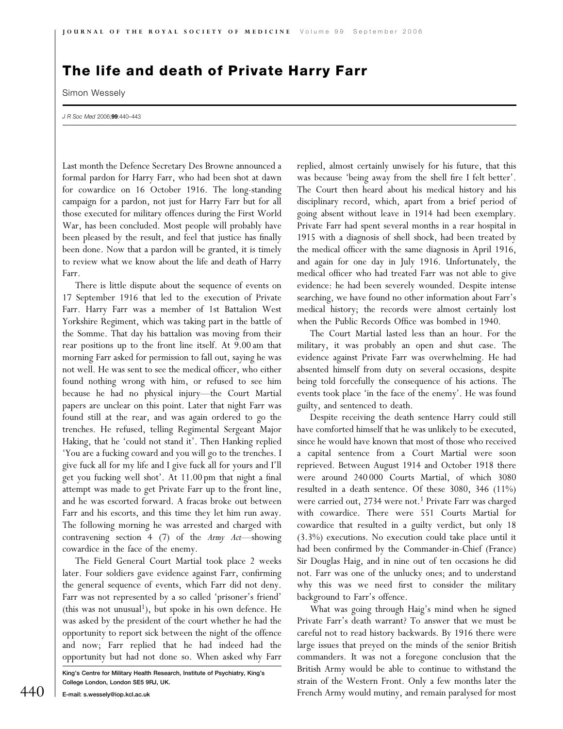## The life and death of Private Harry Farr

Simon Wessely

J R Soc Med 2006;99:440-443

Last month the Defence Secretary Des Browne announced a formal pardon for Harry Farr, who had been shot at dawn for cowardice on 16 October 1916. The long-standing campaign for a pardon, not just for Harry Farr but for all those executed for military offences during the First World War, has been concluded. Most people will probably have been pleased by the result, and feel that justice has finally been done. Now that a pardon will be granted, it is timely to review what we know about the life and death of Harry Farr.

There is little dispute about the sequence of events on 17 September 1916 that led to the execution of Private Farr. Harry Farr was a member of 1st Battalion West Yorkshire Regiment, which was taking part in the battle of the Somme. That day his battalion was moving from their rear positions up to the front line itself. At 9.00 am that morning Farr asked for permission to fall out, saying he was not well. He was sent to see the medical officer, who either found nothing wrong with him, or refused to see him because he had no physical injury—the Court Martial papers are unclear on this point. Later that night Farr was found still at the rear, and was again ordered to go the trenches. He refused, telling Regimental Sergeant Major Haking, that he 'could not stand it'. Then Hanking replied 'You are a fucking coward and you will go to the trenches. I give fuck all for my life and I give fuck all for yours and I'll get you fucking well shot'. At 11.00 pm that night a final attempt was made to get Private Farr up to the front line, and he was escorted forward. A fracas broke out between Farr and his escorts, and this time they let him run away. The following morning he was arrested and charged with contravening section 4 (7) of the Army Act—showing cowardice in the face of the enemy.

The Field General Court Martial took place 2 weeks later. Four soldiers gave evidence against Farr, confirming the general sequence of events, which Farr did not deny. Farr was not represented by a so called 'prisoner's friend' (this was not unusual<sup>1</sup>), but spoke in his own defence. He was asked by the president of the court whether he had the opportunity to report sick between the night of the offence and now; Farr replied that he had indeed had the opportunity but had not done so. When asked why Farr

King's Centre for Military Health Research, Institute of Psychiatry, King's College London, London SE5 9RJ, UK.

replied, almost certainly unwisely for his future, that this was because 'being away from the shell fire I felt better'. The Court then heard about his medical history and his disciplinary record, which, apart from a brief period of going absent without leave in 1914 had been exemplary. Private Farr had spent several months in a rear hospital in 1915 with a diagnosis of shell shock, had been treated by the medical officer with the same diagnosis in April 1916, and again for one day in July 1916. Unfortunately, the medical officer who had treated Farr was not able to give evidence: he had been severely wounded. Despite intense searching, we have found no other information about Farr's medical history; the records were almost certainly lost when the Public Records Office was bombed in 1940.

The Court Martial lasted less than an hour. For the military, it was probably an open and shut case. The evidence against Private Farr was overwhelming. He had absented himself from duty on several occasions, despite being told forcefully the consequence of his actions. The events took place 'in the face of the enemy'. He was found guilty, and sentenced to death.

Despite receiving the death sentence Harry could still have comforted himself that he was unlikely to be executed, since he would have known that most of those who received a capital sentence from a Court Martial were soon reprieved. Between August 1914 and October 1918 there were around 240 000 Courts Martial, of which 3080 resulted in a death sentence. Of these 3080, 346 (11%) were carried out, 2734 were not.<sup>1</sup> Private Farr was charged with cowardice. There were 551 Courts Martial for cowardice that resulted in a guilty verdict, but only 18 (3.3%) executions. No execution could take place until it had been confirmed by the Commander-in-Chief (France) Sir Douglas Haig, and in nine out of ten occasions he did not. Farr was one of the unlucky ones; and to understand why this was we need first to consider the military background to Farr's offence.

What was going through Haig's mind when he signed Private Farr's death warrant? To answer that we must be careful not to read history backwards. By 1916 there were large issues that preyed on the minds of the senior British commanders. It was not a foregone conclusion that the British Army would be able to continue to withstand the strain of the Western Front. Only a few months later the  $440\;$   $\;$  E-mail: s.wessely@iop.kcl.ac.uk  $\;$  French Army would mutiny, and remain paralysed for most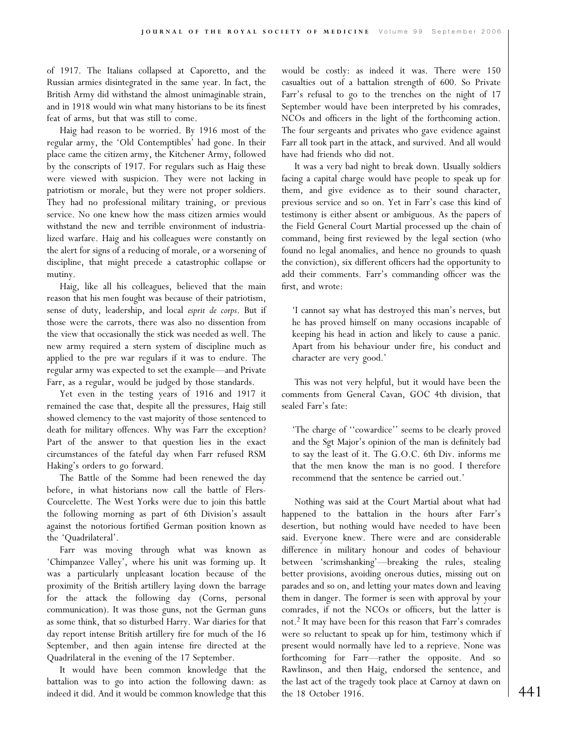of 1917. The Italians collapsed at Caporetto, and the Russian armies disintegrated in the same year. In fact, the British Army did withstand the almost unimaginable strain, and in 1918 would win what many historians to be its finest feat of arms, but that was still to come.

Haig had reason to be worried. By 1916 most of the regular army, the 'Old Contemptibles' had gone. In their place came the citizen army, the Kitchener Army, followed by the conscripts of 1917. For regulars such as Haig these were viewed with suspicion. They were not lacking in patriotism or morale, but they were not proper soldiers. They had no professional military training, or previous service. No one knew how the mass citizen armies would withstand the new and terrible environment of industrialized warfare. Haig and his colleagues were constantly on the alert for signs of a reducing of morale, or a worsening of discipline, that might precede a catastrophic collapse or mutiny.

Haig, like all his colleagues, believed that the main reason that his men fought was because of their patriotism, sense of duty, leadership, and local esprit de corps. But if those were the carrots, there was also no dissention from the view that occasionally the stick was needed as well. The new army required a stern system of discipline much as applied to the pre war regulars if it was to endure. The regular army was expected to set the example—and Private Farr, as a regular, would be judged by those standards.

Yet even in the testing years of 1916 and 1917 it remained the case that, despite all the pressures, Haig still showed clemency to the vast majority of those sentenced to death for military offences. Why was Farr the exception? Part of the answer to that question lies in the exact circumstances of the fateful day when Farr refused RSM Haking's orders to go forward.

The Battle of the Somme had been renewed the day before, in what historians now call the battle of Flers-Courcelette. The West Yorks were due to join this battle the following morning as part of 6th Division's assault against the notorious fortified German position known as the 'Quadrilateral'.

Farr was moving through what was known as 'Chimpanzee Valley', where his unit was forming up. It was a particularly unpleasant location because of the proximity of the British artillery laying down the barrage for the attack the following day (Corns, personal communication). It was those guns, not the German guns as some think, that so disturbed Harry. War diaries for that day report intense British artillery fire for much of the 16 September, and then again intense fire directed at the Quadrilateral in the evening of the 17 September.

It would have been common knowledge that the battalion was to go into action the following dawn: as indeed it did. And it would be common knowledge that this would be costly: as indeed it was. There were 150 casualties out of a battalion strength of 600. So Private Farr's refusal to go to the trenches on the night of 17 September would have been interpreted by his comrades, NCOs and officers in the light of the forthcoming action. The four sergeants and privates who gave evidence against Farr all took part in the attack, and survived. And all would have had friends who did not.

It was a very bad night to break down. Usually soldiers facing a capital charge would have people to speak up for them, and give evidence as to their sound character, previous service and so on. Yet in Farr's case this kind of testimony is either absent or ambiguous. As the papers of the Field General Court Martial processed up the chain of command, being first reviewed by the legal section (who found no legal anomalies, and hence no grounds to quash the conviction), six different officers had the opportunity to add their comments. Farr's commanding officer was the first, and wrote:

'I cannot say what has destroyed this man's nerves, but he has proved himself on many occasions incapable of keeping his head in action and likely to cause a panic. Apart from his behaviour under fire, his conduct and character are very good.'

This was not very helpful, but it would have been the comments from General Cavan, GOC 4th division, that sealed Farr's fate:

'The charge of ''cowardice'' seems to be clearly proved and the Sgt Major's opinion of the man is definitely bad to say the least of it. The G.O.C. 6th Div. informs me that the men know the man is no good. I therefore recommend that the sentence be carried out.'

Nothing was said at the Court Martial about what had happened to the battalion in the hours after Farr's desertion, but nothing would have needed to have been said. Everyone knew. There were and are considerable difference in military honour and codes of behaviour between 'scrimshanking'—breaking the rules, stealing better provisions, avoiding onerous duties, missing out on parades and so on, and letting your mates down and leaving them in danger. The former is seen with approval by your comrades, if not the NCOs or officers, but the latter is not.<sup>2</sup> It may have been for this reason that Farr's comrades were so reluctant to speak up for him, testimony which if present would normally have led to a reprieve. None was forthcoming for Farr—rather the opposite. And so Rawlinson, and then Haig, endorsed the sentence, and the last act of the tragedy took place at Carnoy at dawn on the 18 October 1916.  $|441$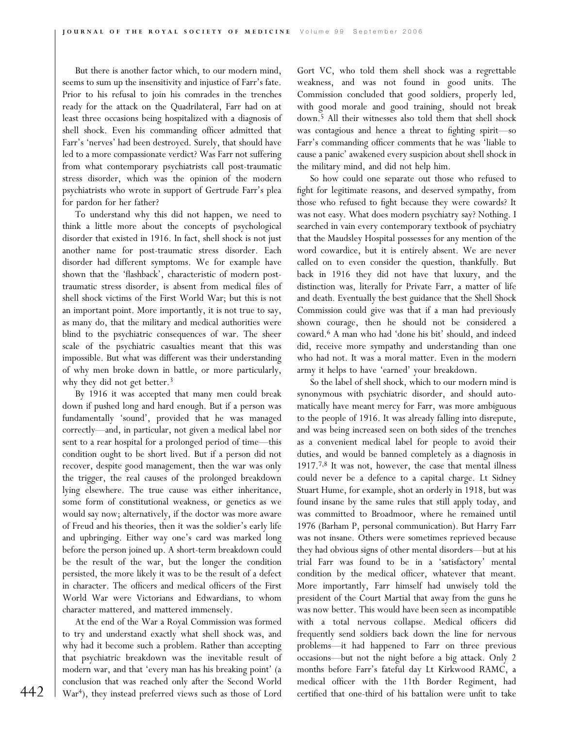But there is another factor which, to our modern mind, seems to sum up the insensitivity and injustice of Farr's fate. Prior to his refusal to join his comrades in the trenches ready for the attack on the Quadrilateral, Farr had on at least three occasions being hospitalized with a diagnosis of shell shock. Even his commanding officer admitted that Farr's 'nerves' had been destroyed. Surely, that should have led to a more compassionate verdict? Was Farr not suffering from what contemporary psychiatrists call post-traumatic stress disorder, which was the opinion of the modern psychiatrists who wrote in support of Gertrude Farr's plea for pardon for her father?

To understand why this did not happen, we need to think a little more about the concepts of psychological disorder that existed in 1916. In fact, shell shock is not just another name for post-traumatic stress disorder. Each disorder had different symptoms. We for example have shown that the 'flashback', characteristic of modern posttraumatic stress disorder, is absent from medical files of shell shock victims of the First World War; but this is not an important point. More importantly, it is not true to say, as many do, that the military and medical authorities were blind to the psychiatric consequences of war. The sheer scale of the psychiatric casualties meant that this was impossible. But what was different was their understanding of why men broke down in battle, or more particularly, why they did not get better.<sup>3</sup>

By 1916 it was accepted that many men could break down if pushed long and hard enough. But if a person was fundamentally 'sound', provided that he was managed correctly—and, in particular, not given a medical label nor sent to a rear hospital for a prolonged period of time—this condition ought to be short lived. But if a person did not recover, despite good management, then the war was only the trigger, the real causes of the prolonged breakdown lying elsewhere. The true cause was either inheritance, some form of constitutional weakness, or genetics as we would say now; alternatively, if the doctor was more aware of Freud and his theories, then it was the soldier's early life and upbringing. Either way one's card was marked long before the person joined up. A short-term breakdown could be the result of the war, but the longer the condition persisted, the more likely it was to be the result of a defect in character. The officers and medical officers of the First World War were Victorians and Edwardians, to whom character mattered, and mattered immensely.

At the end of the War a Royal Commission was formed to try and understand exactly what shell shock was, and why had it become such a problem. Rather than accepting that psychiatric breakdown was the inevitable result of modern war, and that 'every man has his breaking point' (a conclusion that was reached only after the Second World 442 War<sup>4</sup>), they instead preferred views such as those of Lord certified that one-third of his battalion were unfit to take

Gort VC, who told them shell shock was a regrettable weakness, and was not found in good units. The Commission concluded that good soldiers, properly led, with good morale and good training, should not break down.5 All their witnesses also told them that shell shock was contagious and hence a threat to fighting spirit—so Farr's commanding officer comments that he was 'liable to cause a panic' awakened every suspicion about shell shock in the military mind, and did not help him.

So how could one separate out those who refused to fight for legitimate reasons, and deserved sympathy, from those who refused to fight because they were cowards? It was not easy. What does modern psychiatry say? Nothing. I searched in vain every contemporary textbook of psychiatry that the Maudsley Hospital possesses for any mention of the word cowardice, but it is entirely absent. We are never called on to even consider the question, thankfully. But back in 1916 they did not have that luxury, and the distinction was, literally for Private Farr, a matter of life and death. Eventually the best guidance that the Shell Shock Commission could give was that if a man had previously shown courage, then he should not be considered a coward.6 A man who had 'done his bit' should, and indeed did, receive more sympathy and understanding than one who had not. It was a moral matter. Even in the modern army it helps to have 'earned' your breakdown.

So the label of shell shock, which to our modern mind is synonymous with psychiatric disorder, and should automatically have meant mercy for Farr, was more ambiguous to the people of 1916. It was already falling into disrepute, and was being increased seen on both sides of the trenches as a convenient medical label for people to avoid their duties, and would be banned completely as a diagnosis in 1917.<sup>7,8</sup> It was not, however, the case that mental illness could never be a defence to a capital charge. Lt Sidney Stuart Hume, for example, shot an orderly in 1918, but was found insane by the same rules that still apply today, and was committed to Broadmoor, where he remained until 1976 (Barham P, personal communication). But Harry Farr was not insane. Others were sometimes reprieved because they had obvious signs of other mental disorders—but at his trial Farr was found to be in a 'satisfactory' mental condition by the medical officer, whatever that meant. More importantly, Farr himself had unwisely told the president of the Court Martial that away from the guns he was now better. This would have been seen as incompatible with a total nervous collapse. Medical officers did frequently send soldiers back down the line for nervous problems—it had happened to Farr on three previous occasions—but not the night before a big attack. Only 2 months before Farr's fateful day Lt Kirkwood RAMC, a medical officer with the 11th Border Regiment, had